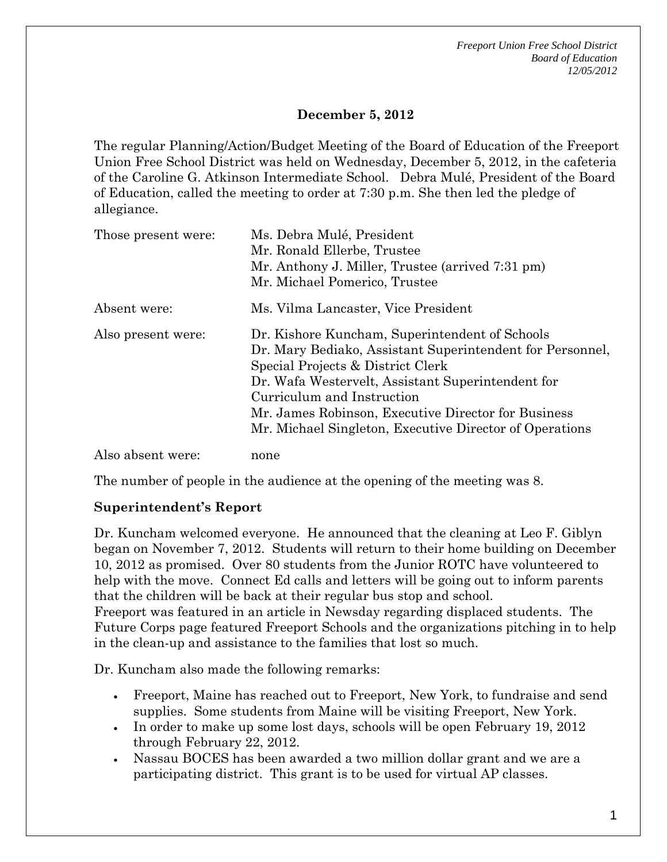*Freeport Union Free School District Board of Education 12/05/2012* 

### **December 5, 2012**

The regular Planning/Action/Budget Meeting of the Board of Education of the Freeport Union Free School District was held on Wednesday, December 5, 2012, in the cafeteria of the Caroline G. Atkinson Intermediate School. Debra Mulé, President of the Board of Education, called the meeting to order at 7:30 p.m. She then led the pledge of allegiance.

| Those present were: | Ms. Debra Mulé, President<br>Mr. Ronald Ellerbe, Trustee<br>Mr. Anthony J. Miller, Trustee (arrived 7:31 pm)                                                                                                                                                                                                                                          |
|---------------------|-------------------------------------------------------------------------------------------------------------------------------------------------------------------------------------------------------------------------------------------------------------------------------------------------------------------------------------------------------|
|                     | Mr. Michael Pomerico, Trustee                                                                                                                                                                                                                                                                                                                         |
| Absent were:        | Ms. Vilma Lancaster, Vice President                                                                                                                                                                                                                                                                                                                   |
| Also present were:  | Dr. Kishore Kuncham, Superintendent of Schools<br>Dr. Mary Bediako, Assistant Superintendent for Personnel,<br>Special Projects & District Clerk<br>Dr. Wafa Westervelt, Assistant Superintendent for<br>Curriculum and Instruction<br>Mr. James Robinson, Executive Director for Business<br>Mr. Michael Singleton, Executive Director of Operations |
| Also absent were:   | none                                                                                                                                                                                                                                                                                                                                                  |

The number of people in the audience at the opening of the meeting was 8.

#### **Superintendent's Report**

Dr. Kuncham welcomed everyone. He announced that the cleaning at Leo F. Giblyn began on November 7, 2012. Students will return to their home building on December 10, 2012 as promised. Over 80 students from the Junior ROTC have volunteered to help with the move. Connect Ed calls and letters will be going out to inform parents that the children will be back at their regular bus stop and school. Freeport was featured in an article in Newsday regarding displaced students. The Future Corps page featured Freeport Schools and the organizations pitching in to help

Dr. Kuncham also made the following remarks:

in the clean-up and assistance to the families that lost so much.

- Freeport, Maine has reached out to Freeport, New York, to fundraise and send supplies. Some students from Maine will be visiting Freeport, New York.
- In order to make up some lost days, schools will be open February 19, 2012 through February 22, 2012.
- Nassau BOCES has been awarded a two million dollar grant and we are a participating district. This grant is to be used for virtual AP classes.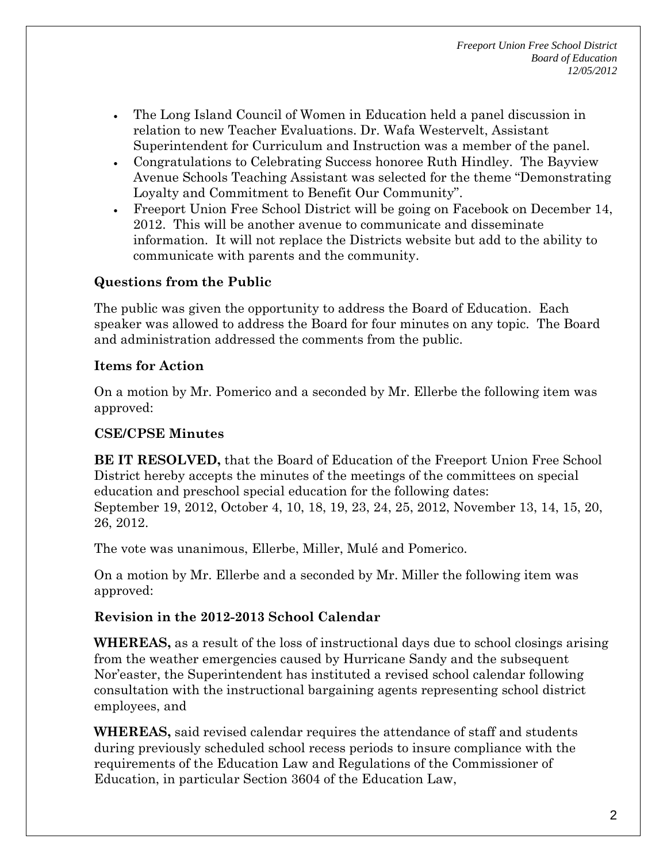- The Long Island Council of Women in Education held a panel discussion in relation to new Teacher Evaluations. Dr. Wafa Westervelt, Assistant Superintendent for Curriculum and Instruction was a member of the panel.
- Congratulations to Celebrating Success honoree Ruth Hindley. The Bayview Avenue Schools Teaching Assistant was selected for the theme "Demonstrating Loyalty and Commitment to Benefit Our Community".
- Freeport Union Free School District will be going on Facebook on December 14, 2012. This will be another avenue to communicate and disseminate information. It will not replace the Districts website but add to the ability to communicate with parents and the community.

# **Questions from the Public**

The public was given the opportunity to address the Board of Education. Each speaker was allowed to address the Board for four minutes on any topic. The Board and administration addressed the comments from the public.

## **Items for Action**

On a motion by Mr. Pomerico and a seconded by Mr. Ellerbe the following item was approved:

## **CSE/CPSE Minutes**

**BE IT RESOLVED,** that the Board of Education of the Freeport Union Free School District hereby accepts the minutes of the meetings of the committees on special education and preschool special education for the following dates: September 19, 2012, October 4, 10, 18, 19, 23, 24, 25, 2012, November 13, 14, 15, 20, 26, 2012.

The vote was unanimous, Ellerbe, Miller, Mulé and Pomerico.

On a motion by Mr. Ellerbe and a seconded by Mr. Miller the following item was approved:

## **Revision in the 2012-2013 School Calendar**

**WHEREAS,** as a result of the loss of instructional days due to school closings arising from the weather emergencies caused by Hurricane Sandy and the subsequent Nor'easter, the Superintendent has instituted a revised school calendar following consultation with the instructional bargaining agents representing school district employees, and

**WHEREAS,** said revised calendar requires the attendance of staff and students during previously scheduled school recess periods to insure compliance with the requirements of the Education Law and Regulations of the Commissioner of Education, in particular Section 3604 of the Education Law,